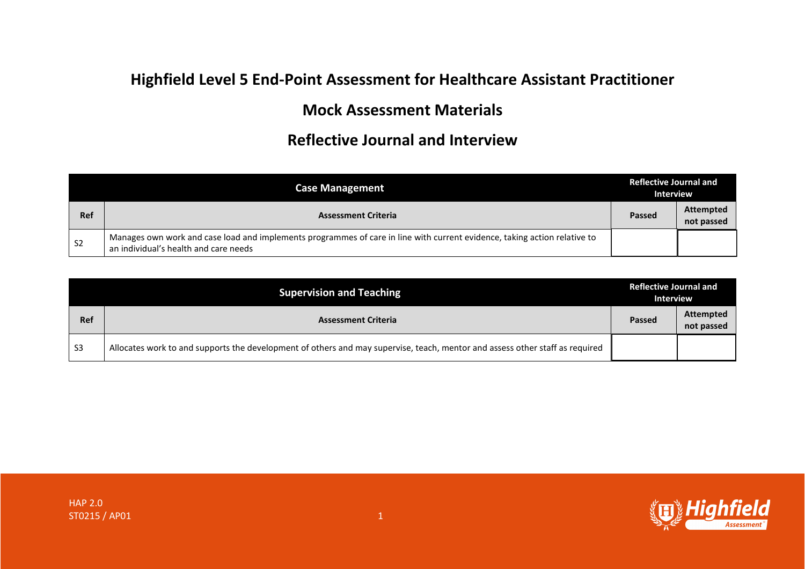## **Highfield Level 5 End-Point Assessment for Healthcare Assistant Practitioner**

## **Mock Assessment Materials**

## **Reflective Journal and Interview**

| <b>Case Management</b> |                                                                                                                                                                    | <b>Reflective Journal and</b><br><b>Interview</b> |                                |
|------------------------|--------------------------------------------------------------------------------------------------------------------------------------------------------------------|---------------------------------------------------|--------------------------------|
| Ref                    | <b>Assessment Criteria</b>                                                                                                                                         | <b>Passed</b>                                     | <b>Attempted</b><br>not passed |
| S <sub>2</sub>         | Manages own work and case load and implements programmes of care in line with current evidence, taking action relative to<br>an individual's health and care needs |                                                   |                                |

|                | <b>Supervision and Teaching</b>                                                                                              |        | <b>Reflective Journal and</b><br><b>Interview</b> |  |
|----------------|------------------------------------------------------------------------------------------------------------------------------|--------|---------------------------------------------------|--|
| Ref            | <b>Assessment Criteria</b>                                                                                                   | Passed | <b>Attempted</b><br>not passed                    |  |
| S <sub>3</sub> | Allocates work to and supports the development of others and may supervise, teach, mentor and assess other staff as required |        |                                                   |  |

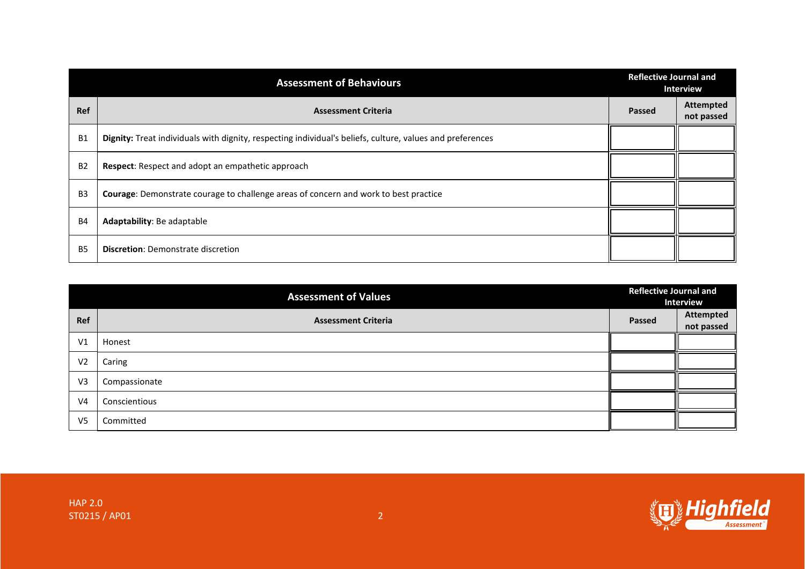| <b>Assessment of Behaviours</b> |                                                                                                           | <b>Reflective Journal and</b><br><b>Interview</b> |                         |
|---------------------------------|-----------------------------------------------------------------------------------------------------------|---------------------------------------------------|-------------------------|
| <b>Ref</b>                      | <b>Assessment Criteria</b>                                                                                | <b>Passed</b>                                     | Attempted<br>not passed |
| <b>B1</b>                       | Dignity: Treat individuals with dignity, respecting individual's beliefs, culture, values and preferences |                                                   |                         |
| <b>B2</b>                       | <b>Respect:</b> Respect and adopt an empathetic approach                                                  |                                                   |                         |
| B <sub>3</sub>                  | Courage: Demonstrate courage to challenge areas of concern and work to best practice                      |                                                   |                         |
| <b>B4</b>                       | Adaptability: Be adaptable                                                                                |                                                   |                         |
| <b>B5</b>                       | <b>Discretion: Demonstrate discretion</b>                                                                 |                                                   |                         |

| <b>Assessment of Values</b> |                            | <b>Reflective Journal and</b><br><b>Interview</b> |                         |
|-----------------------------|----------------------------|---------------------------------------------------|-------------------------|
| Ref                         | <b>Assessment Criteria</b> | Passed                                            | Attempted<br>not passed |
| V <sub>1</sub>              | Honest                     |                                                   |                         |
| V <sub>2</sub>              | Caring                     |                                                   |                         |
| V <sub>3</sub>              | Compassionate              |                                                   |                         |
| V <sub>4</sub>              | Conscientious              |                                                   |                         |
| V <sub>5</sub>              | Committed                  |                                                   |                         |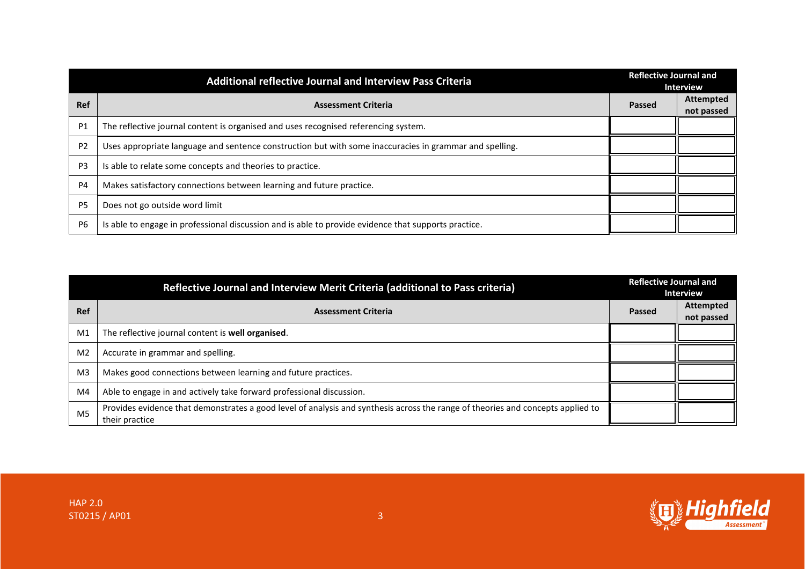| <b>Additional reflective Journal and Interview Pass Criteria</b> |                                                                                                         | <b>Reflective Journal and</b><br><b>Interview</b> |                                |
|------------------------------------------------------------------|---------------------------------------------------------------------------------------------------------|---------------------------------------------------|--------------------------------|
| <b>Ref</b>                                                       | <b>Assessment Criteria</b>                                                                              | Passed                                            | <b>Attempted</b><br>not passed |
| P <sub>1</sub>                                                   | The reflective journal content is organised and uses recognised referencing system.                     |                                                   |                                |
| P <sub>2</sub>                                                   | Uses appropriate language and sentence construction but with some inaccuracies in grammar and spelling. |                                                   |                                |
| P <sub>3</sub>                                                   | Is able to relate some concepts and theories to practice.                                               |                                                   |                                |
| P <sub>4</sub>                                                   | Makes satisfactory connections between learning and future practice.                                    |                                                   |                                |
| P <sub>5</sub>                                                   | Does not go outside word limit                                                                          |                                                   |                                |
| P <sub>6</sub>                                                   | Is able to engage in professional discussion and is able to provide evidence that supports practice.    |                                                   |                                |

|                | Reflective Journal and Interview Merit Criteria (additional to Pass criteria)                                                                     |        | <b>Reflective Journal and</b><br><b>Interview</b> |  |
|----------------|---------------------------------------------------------------------------------------------------------------------------------------------------|--------|---------------------------------------------------|--|
| <b>Ref</b>     | <b>Assessment Criteria</b>                                                                                                                        | Passed | <b>Attempted</b><br>not passed                    |  |
| M <sub>1</sub> | The reflective journal content is well organised.                                                                                                 |        |                                                   |  |
| M <sub>2</sub> | Accurate in grammar and spelling.                                                                                                                 |        |                                                   |  |
| M <sub>3</sub> | Makes good connections between learning and future practices.                                                                                     |        |                                                   |  |
| M4             | Able to engage in and actively take forward professional discussion.                                                                              |        |                                                   |  |
| M <sub>5</sub> | Provides evidence that demonstrates a good level of analysis and synthesis across the range of theories and concepts applied to<br>their practice |        |                                                   |  |